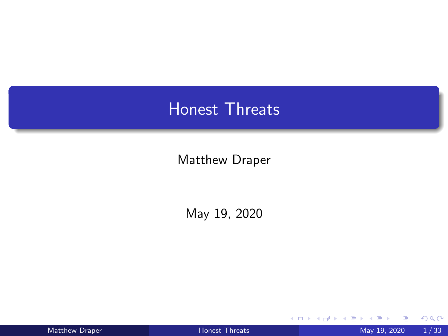# <span id="page-0-0"></span>Honest Threats

Matthew Draper

May 19, 2020

| <b>Matthew Draper</b> |  |
|-----------------------|--|
|-----------------------|--|

4日下

 $298$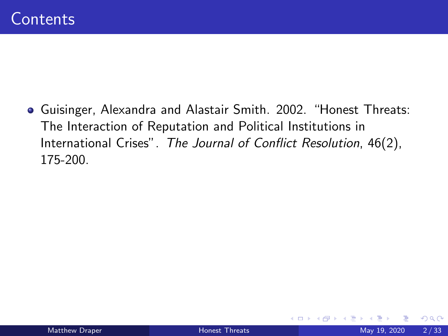Guisinger, Alexandra and Alastair Smith. 2002. "Honest Threats: The Interaction of Reputation and Political Institutions in International Crises". The Journal of Conflict Resolution, 46(2), 175-200.

4 D F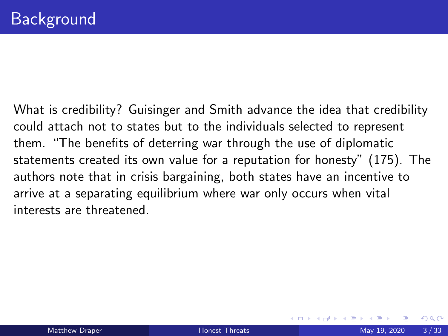What is credibility? Guisinger and Smith advance the idea that credibility could attach not to states but to the individuals selected to represent them. "The benefits of deterring war through the use of diplomatic statements created its own value for a reputation for honesty" (175). The authors note that in crisis bargaining, both states have an incentive to arrive at a separating equilibrium where war only occurs when vital interests are threatened.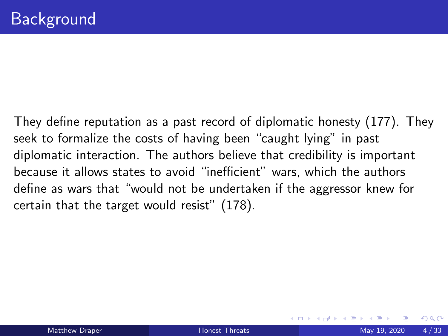They define reputation as a past record of diplomatic honesty (177). They seek to formalize the costs of having been "caught lying" in past diplomatic interaction. The authors believe that credibility is important because it allows states to avoid "inefficient" wars, which the authors define as wars that "would not be undertaken if the aggressor knew for certain that the target would resist" (178).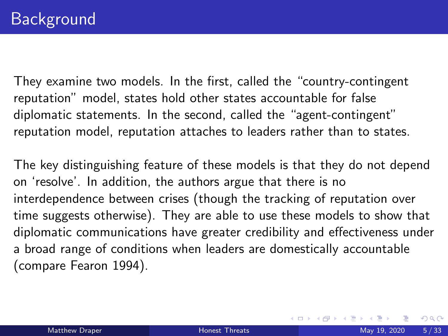They examine two models. In the first, called the "country-contingent reputation" model, states hold other states accountable for false diplomatic statements. In the second, called the "agent-contingent" reputation model, reputation attaches to leaders rather than to states.

The key distinguishing feature of these models is that they do not depend on 'resolve'. In addition, the authors argue that there is no interdependence between crises (though the tracking of reputation over time suggests otherwise). They are able to use these models to show that diplomatic communications have greater credibility and effectiveness under a broad range of conditions when leaders are domestically accountable (compare Fearon 1994).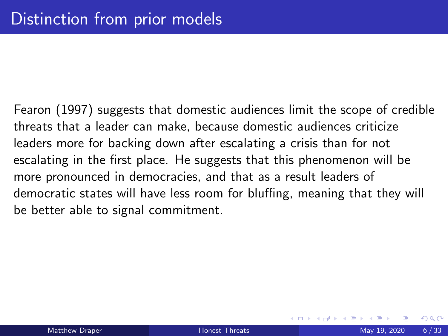<span id="page-5-0"></span>Fearon (1997) suggests that domestic audiences limit the scope of credible threats that a leader can make, because domestic audiences criticize leaders more for backing down after escalating a crisis than for not escalating in the first place. He suggests that this phenomenon will be more pronounced in democracies, and that as a result leaders of democratic states will have less room for bluffing, meaning that they will be better able to signal commitment.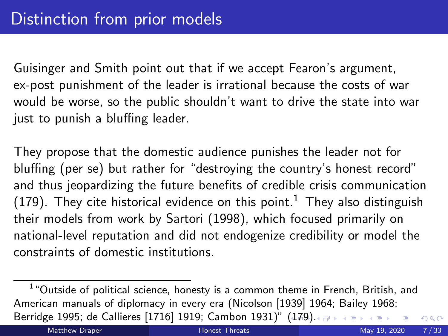Guisinger and Smith point out that if we accept Fearon's argument, ex-post punishment of the leader is irrational because the costs of war would be worse, so the public shouldn't want to drive the state into war just to punish a bluffing leader.

They propose that the domestic audience punishes the leader not for bluffing (per se) but rather for "destroying the country's honest record" and thus jeopardizing the future benefits of credible crisis communication (179). They cite historical evidence on this point.<sup>1</sup> They also distinguish their models from work by Sartori (1998), which focused primarily on national-level reputation and did not endogenize credibility or model the constraints of domestic institutions.

 $1$  "Outside of political science, honesty is a common theme in French, British, and American manuals of diplomacy in every era (Nicolson [1939] 1964; Bailey 1968; Berridge 1995; de Callieres [1716] 1919; Cambon 1931)" [\(1](#page-5-0)7[9\)](#page-7-0)[.](#page-5-0)  $\sigma$  $QQ$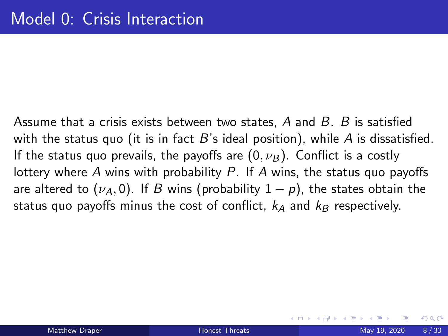<span id="page-7-0"></span>Assume that a crisis exists between two states,  $A$  and  $B$ .  $B$  is satisfied with the status quo (it is in fact  $B$ 's ideal position), while A is dissatisfied. If the status quo prevails, the payoffs are  $(0, \nu_B)$ . Conflict is a costly lottery where A wins with probability  $P$ . If A wins, the status quo payoffs are altered to  $(\nu_A, 0)$ . If B wins (probability  $1 - p$ ), the states obtain the status quo payoffs minus the cost of conflict,  $k_A$  and  $k_B$  respectively.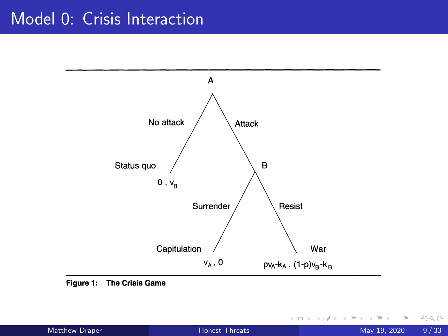# Model 0: Crisis Interaction



Figure 1: The Crisis Game

| Matthew Draper |  |  |  |  |  |
|----------------|--|--|--|--|--|
|----------------|--|--|--|--|--|

∢ □ ▶ ⊣ *←* □

34 B  $\rightarrow$ ≃  $299$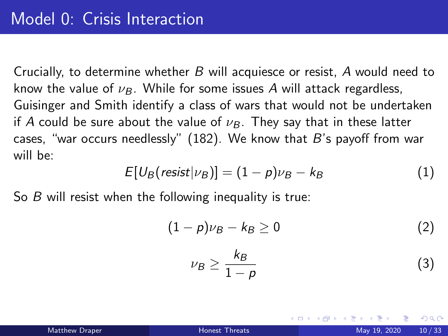Crucially, to determine whether B will acquiesce or resist, A would need to know the value of  $\nu_B$ . While for some issues A will attack regardless, Guisinger and Smith identify a class of wars that would not be undertaken if A could be sure about the value of  $\nu_B$ . They say that in these latter cases, "war occurs needlessly" (182). We know that  $B$ 's payoff from war will be:

$$
E[U_B(resist|\nu_B)] = (1-p)\nu_B - k_B \tag{1}
$$

So B will resist when the following inequality is true:

$$
(1-p)\nu_B - k_B \ge 0 \tag{2}
$$

$$
\nu_B \ge \frac{k_B}{1-\rho} \tag{3}
$$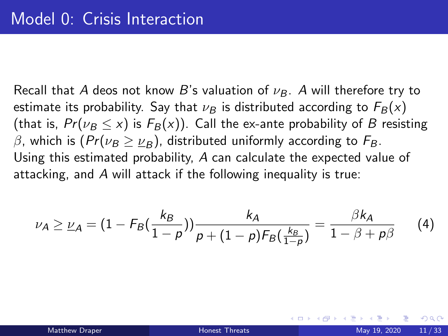Recall that A deos not know B's valuation of  $\nu_B$ . A will therefore try to estimate its probability. Say that  $\nu_B$  is distributed according to  $F_B(x)$ (that is,  $Pr(\nu_B \le x)$  is  $F_B(x)$ ). Call the ex-ante probability of B resisting β, which is  $(Pr(\nu_B \ge \nu_B))$ , distributed uniformly according to  $F_B$ . Using this estimated probability, A can calculate the expected value of attacking, and A will attack if the following inequality is true:

$$
\nu_A \geq \nu_A = (1 - F_B(\frac{k_B}{1 - p})) \frac{k_A}{p + (1 - p)F_B(\frac{k_B}{1 - p})} = \frac{\beta k_A}{1 - \beta + p\beta} \qquad (4)
$$

 $QQ$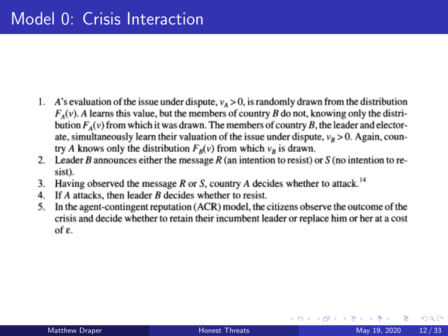- 1. A's evaluation of the issue under dispute,  $v_A > 0$ , is randomly drawn from the distribution  $F_A(v)$ . A learns this value, but the members of country B do not, knowing only the distribution  $F_A(v)$  from which it was drawn. The members of country B, the leader and electorate, simultaneously learn their valuation of the issue under dispute,  $v_R > 0$ . Again, country A knows only the distribution  $F_B(v)$  from which  $v_B$  is drawn.
- 2. Leader B announces either the message R (an intention to resist) or S (no intention to resist).
- Having observed the message  $R$  or  $S$ , country  $A$  decides whether to attack.<sup>14</sup> 3.
- If  $A$  attacks, then leader  $B$  decides whether to resist. 4.
- 5. In the agent-contingent reputation (ACR) model, the citizens observe the outcome of the crisis and decide whether to retain their incumbent leader or replace him or her at a cost of  $\epsilon$ .

 $QQ$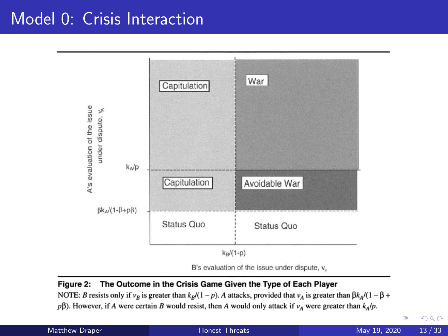# Model 0: Crisis Interaction



B's evaluation of the issue under dispute, v.

#### Figure 2: The Outcome in the Crisis Game Given the Type of Each Player

NOTE: B resists only if  $v_B$  is greater than  $k_B/(1-p)$ . A attacks, provided that  $v_A$  is greater than  $\beta k_A/(1-\beta+p)$  $p\beta$ ). However, if A were certain B would resist, then A would only attack if  $v_4$  were greater than  $k_A/p$ .

Þ Matthew Draper **Matthew Draper Matthew Draper Matthew Draper** May 19, 2020 13/33

 $QQ$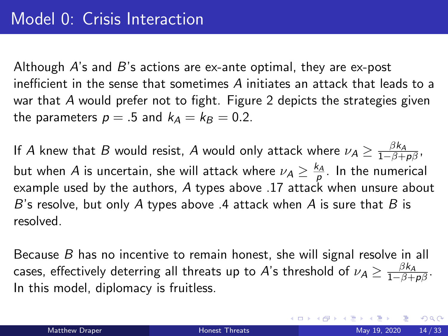Although  $A$ 's and  $B$ 's actions are ex-ante optimal, they are ex-post inefficient in the sense that sometimes A initiates an attack that leads to a war that A would prefer not to fight. Figure 2 depicts the strategies given the parameters  $p = .5$  and  $k_A = k_B = 0.2$ .

If  $A$  knew that  $B$  would resist,  $A$  would only attack where  $\nu_{\mathcal{A}} \geq \frac{\beta k_{\mathcal{A}}}{1-\beta+\rho\beta},$ but when  $A$  is uncertain, she will attack where  $\nu_A\geq \frac{k_A}{p}$ . In the numerical example used by the authors, A types above .17 attack when unsure about B's resolve, but only A types above  $\mathcal A$  attack when A is sure that B is resolved.

Because  $B$  has no incentive to remain honest, she will signal resolve in all cases, effectively deterring all threats up to  $A$ 's threshold of  $\nu_A\geq\frac{\beta k_A}{1-\beta+\rho\beta}.$ In this model, diplomacy is fruitless.

 $QQQ$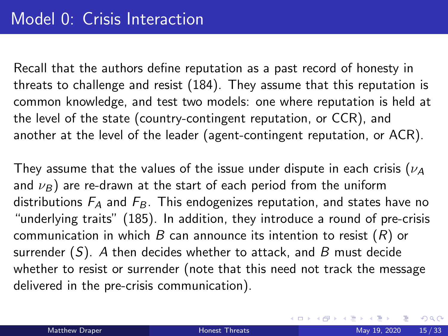Recall that the authors define reputation as a past record of honesty in threats to challenge and resist (184). They assume that this reputation is common knowledge, and test two models: one where reputation is held at the level of the state (country-contingent reputation, or CCR), and another at the level of the leader (agent-contingent reputation, or ACR).

They assume that the values of the issue under dispute in each crisis ( $\nu_A$ ) and  $\nu_B$ ) are re-drawn at the start of each period from the uniform distributions  $F_A$  and  $F_B$ . This endogenizes reputation, and states have no "underlying traits" (185). In addition, they introduce a round of pre-crisis communication in which  $B$  can announce its intention to resist  $(R)$  or surrender  $(S)$ . A then decides whether to attack, and B must decide whether to resist or surrender (note that this need not track the message delivered in the pre-crisis communication).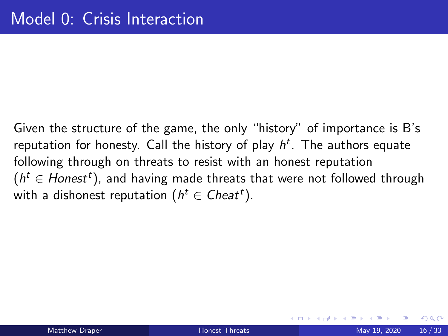Given the structure of the game, the only "history" of importance is B's reputation for honesty. Call the history of play  $h^t$ . The authors equate following through on threats to resist with an honest reputation  $(h^t \in Honest^t)$ , and having made threats that were not followed through with a dishonest reputation  $(h^t \in \mathit{Check}^t).$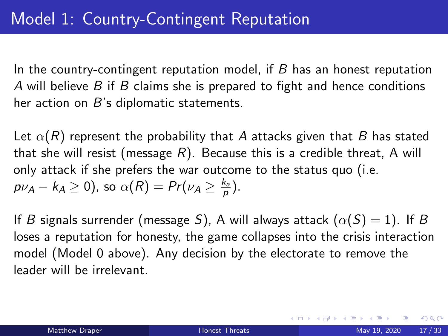In the country-contingent reputation model, if  $B$  has an honest reputation A will believe  $B$  if  $B$  claims she is prepared to fight and hence conditions her action on  $B$ 's diplomatic statements.

Let  $\alpha(R)$  represent the probability that A attacks given that B has stated that she will resist (message R). Because this is a credible threat, A will only attack if she prefers the war outcome to the status quo (i.e.  $p\nu_A - k_A \ge 0$ ), so  $\alpha(R) = Pr(\nu_A \ge \frac{k_a}{p}).$ 

If B signals surrender (message S), A will always attack  $(\alpha(S) = 1)$ . If B loses a reputation for honesty, the game collapses into the crisis interaction model (Model 0 above). Any decision by the electorate to remove the leader will be irrelevant.

 $QQQ$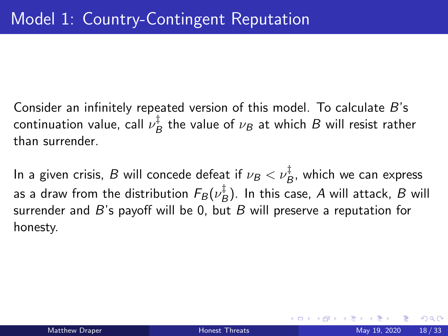Consider an infinitely repeated version of this model. To calculate B's continuation value, call  $\nu^{\ddagger}_P$  $B_B^+$  the value of  $\nu_B$  at which  $B$  will resist rather than surrender.

In a given crisis,  $B$  will concede defeat if  $\nu_B < \nu_B^\ddagger$ , which we can express as a draw from the distribution  $F_B(\nu_E^\ddagger$  $B^+_B$ ). In this case, A will attack, B will surrender and  $B$ 's payoff will be 0, but  $B$  will preserve a reputation for honesty.

つへへ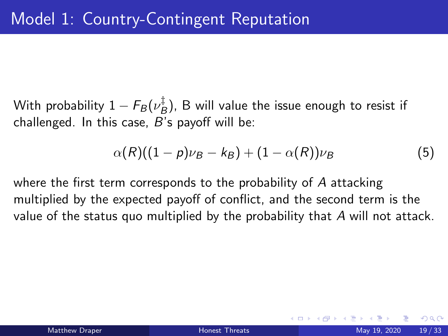With probability  $1-F_B(\nu_E^\ddagger)$  $B^{\dagger}_{B}$ ), B will value the issue enough to resist if challenged. In this case,  $B$ 's payoff will be:

$$
\alpha(R)((1-p)\nu_B-k_B)+(1-\alpha(R))\nu_B \qquad \qquad (5)
$$

where the first term corresponds to the probability of A attacking multiplied by the expected payoff of conflict, and the second term is the value of the status quo multiplied by the probability that  $A$  will not attack.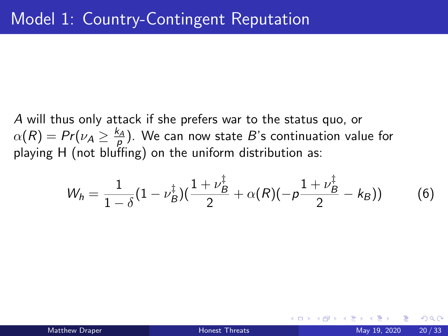A will thus only attack if she prefers war to the status quo, or  $\alpha(R) = Pr( \nu_A \geq \frac{k_A}{\rho}).$  We can now state  $B$ 's continuation value for playing H (not bluffing) on the uniform distribution as:

$$
W_h = \frac{1}{1-\delta}(1-\nu_B^{\ddagger})(\frac{1+\nu_B^{\ddagger}}{2}+\alpha(R)(-\rho\frac{1+\nu_B^{\ddagger}}{2}-k_B))
$$
 (6)

つひひ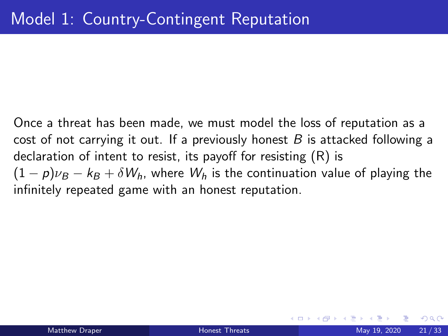Once a threat has been made, we must model the loss of reputation as a cost of not carrying it out. If a previously honest  $B$  is attacked following a declaration of intent to resist, its payoff for resisting (R) is  $(1-p)\nu_B - k_B + \delta W_h$ , where  $W_h$  is the continuation value of playing the infinitely repeated game with an honest reputation.

つへへ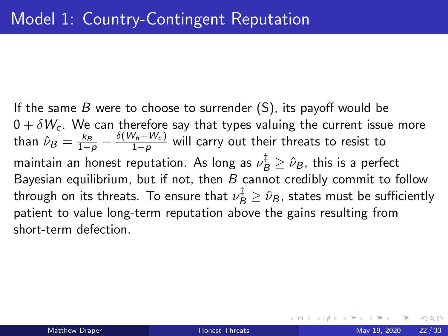If the same  $B$  were to choose to surrender  $(S)$ , its payoff would be  $0 + \delta W_c$ . We can therefore say that types valuing the current issue more than  $\hat{\nu}_B = \frac{k_B}{1-p} - \frac{\delta(W_h-W_c)}{1-p}$  $\frac{v_h - v_{cJ}}{1-p}$  will carry out their threats to resist to maintain an honest reputation. As long as  $\nu^\ddagger_B \geq \hat{\nu}_B$ , this is a perfect Bayesian equilibrium, but if not, then  $B$  cannot credibly commit to follow through on its threats. To ensure that  $\nu^\ddagger_B \geq \hat{\nu}_B$ , states must be sufficiently patient to value long-term reputation above the gains resulting from short-term defection.

つへへ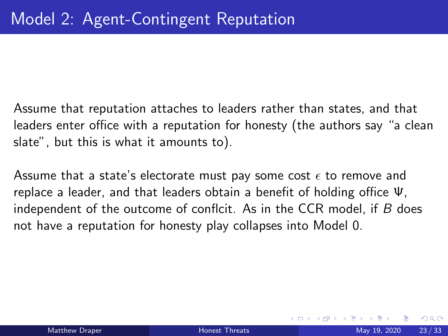Assume that reputation attaches to leaders rather than states, and that leaders enter office with a reputation for honesty (the authors say "a clean slate", but this is what it amounts to).

Assume that a state's electorate must pay some cost  $\epsilon$  to remove and replace a leader, and that leaders obtain a benefit of holding office Ψ, independent of the outcome of conflcit. As in the CCR model, if  $B$  does not have a reputation for honesty play collapses into Model 0.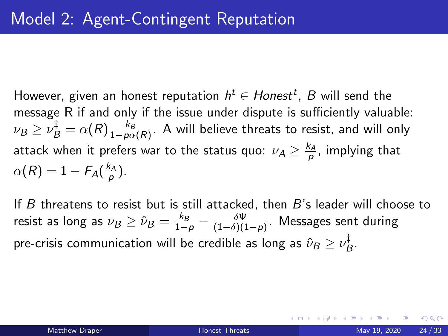However, given an honest reputation  $h^t \in H$ ones $t^t$ ,  $B$  will send the message R if and only if the issue under dispute is sufficiently valuable:  $\nu_B \geq \nu_B^\ddagger = \alpha(R) \frac{k_B}{1-p\alpha(R)}.$  A will believe threats to resist, and will only attack when it prefers war to the status quo:  $\nu_{\mathcal{A}} \geq \frac{k_{A}}{\rho}$ , implying that  $\alpha(R)=1-F_A(\frac{k_A}{p}).$ 

If B threatens to resist but is still attacked, then B's leader will choose to resist as long as  $\nu_B \geq \hat{\nu}_B = \frac{k_B}{1-\rho} - \frac{\delta \Psi}{(1-\delta)(1-\rho)}$  $\frac{\partial \Psi}{(1-\delta)(1-p)}$ . Messages sent during pre-crisis communication will be credible as long as  $\hat{\nu}_B \geq \nu_E^\ddagger$  $B^+$ 

 $QQQ$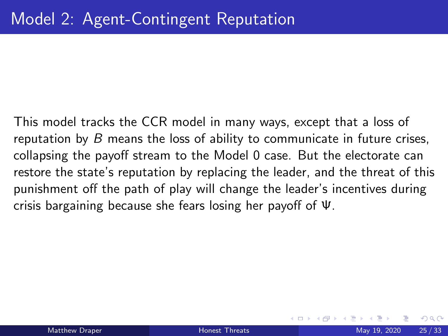This model tracks the CCR model in many ways, except that a loss of reputation by  $B$  means the loss of ability to communicate in future crises, collapsing the payoff stream to the Model 0 case. But the electorate can restore the state's reputation by replacing the leader, and the threat of this punishment off the path of play will change the leader's incentives during crisis bargaining because she fears losing her payoff of Ψ.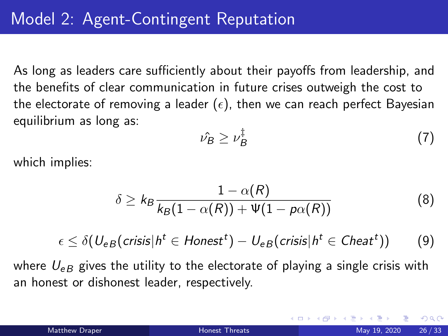As long as leaders care sufficiently about their payoffs from leadership, and the benefits of clear communication in future crises outweigh the cost to the electorate of removing a leader ( $\epsilon$ ), then we can reach perfect Bayesian equilibrium as long as:

$$
\hat{\nu_B} \ge \nu_B^{\ddagger} \tag{7}
$$

which implies:

$$
\delta \ge k_B \frac{1 - \alpha(R)}{k_B(1 - \alpha(R)) + \Psi(1 - p\alpha(R))}
$$
(8)

$$
\epsilon \leq \delta(U_{eB}(crisis|h^t \in Honest^t) - U_{eB}(crisis|h^t \in Chaat^t))
$$
 (9)

where  $U_{\varepsilon B}$  gives the utility to the electorate of playing a single crisis with an honest or dishonest leader, respectively.

 $200$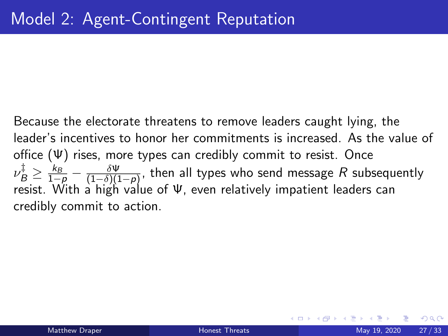Because the electorate threatens to remove leaders caught lying, the leader's incentives to honor her commitments is increased. As the value of office  $(\Psi)$  rises, more types can credibly commit to resist. Once  $\nu_B^{\ddag} \geq \frac{k_B}{1-\rho} - \frac{\delta \Psi}{(1-\delta)(1-\delta)}$  $\frac{\partial \Psi}{(1-\delta)(1-p)}$ , then all types who send message  $R$  subsequently resist. With a high value of Ψ, even relatively impatient leaders can credibly commit to action.

つひい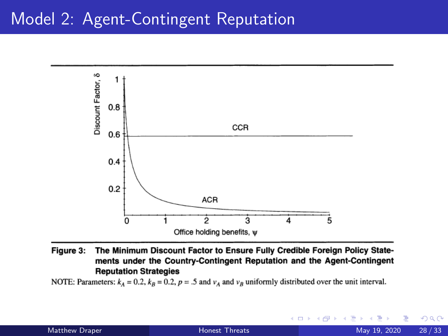### Model 2: Agent-Contingent Reputation



Figure 3: The Minimum Discount Factor to Ensure Fully Credible Foreign Policy Statements under the Country-Contingent Reputation and the Agent-Contingent **Reputation Strategies** 

NOTE: Parameters:  $k_A = 0.2$ ,  $k_B = 0.2$ ,  $p = .5$  and  $v_A$  and  $v_B$  uniformly distributed over the unit interval.

4 D F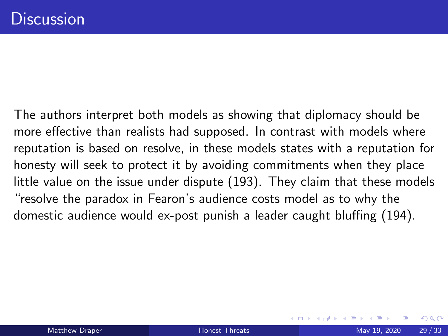The authors interpret both models as showing that diplomacy should be more effective than realists had supposed. In contrast with models where reputation is based on resolve, in these models states with a reputation for honesty will seek to protect it by avoiding commitments when they place little value on the issue under dispute (193). They claim that these models "resolve the paradox in Fearon's audience costs model as to why the domestic audience would ex-post punish a leader caught bluffing (194).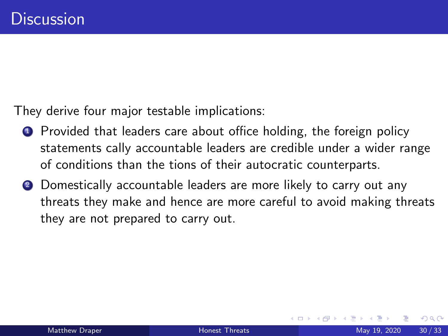They derive four major testable implications:

- **1** Provided that leaders care about office holding, the foreign policy statements cally accountable leaders are credible under a wider range of conditions than the tions of their autocratic counterparts.
- **2** Domestically accountable leaders are more likely to carry out any threats they make and hence are more careful to avoid making threats they are not prepared to carry out.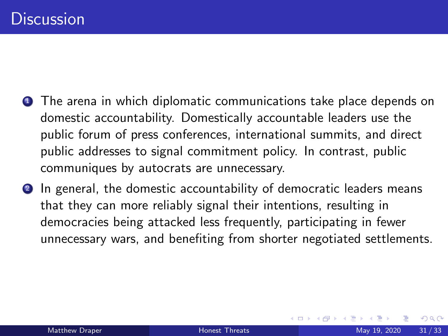- **1** The arena in which diplomatic communications take place depends on domestic accountability. Domestically accountable leaders use the public forum of press conferences, international summits, and direct public addresses to signal commitment policy. In contrast, public communiques by autocrats are unnecessary.
- **2** In general, the domestic accountability of democratic leaders means that they can more reliably signal their intentions, resulting in democracies being attacked less frequently, participating in fewer unnecessary wars, and benefiting from shorter negotiated settlements.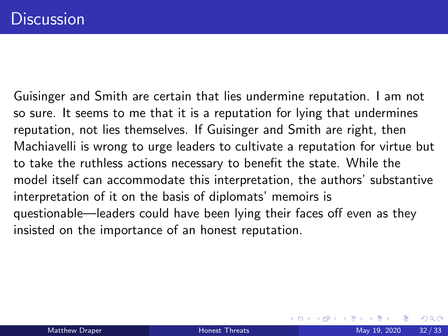Guisinger and Smith are certain that lies undermine reputation. I am not so sure. It seems to me that it is a reputation for lying that undermines reputation, not lies themselves. If Guisinger and Smith are right, then Machiavelli is wrong to urge leaders to cultivate a reputation for virtue but to take the ruthless actions necessary to benefit the state. While the model itself can accommodate this interpretation, the authors' substantive interpretation of it on the basis of diplomats' memoirs is questionable—leaders could have been lying their faces off even as they insisted on the importance of an honest reputation.